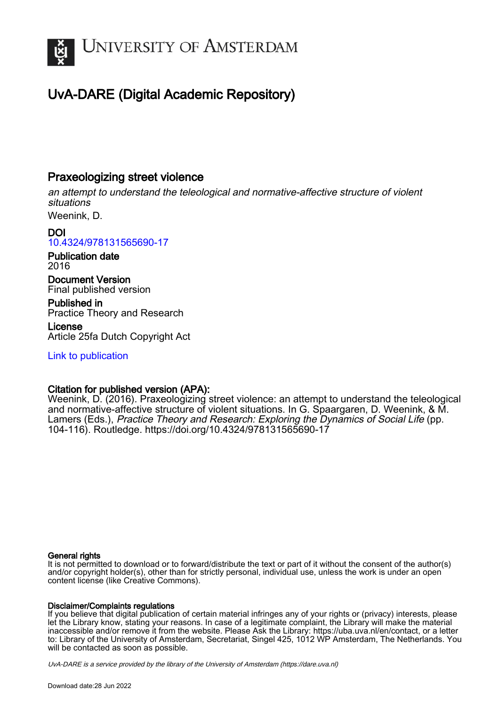

# UvA-DARE (Digital Academic Repository)

# Praxeologizing street violence

an attempt to understand the teleological and normative-affective structure of violent situations

Weenink, D.

DOI [10.4324/978131565690-17](https://doi.org/10.4324/978131565690-17)

Publication date 2016

Document Version Final published version

Published in Practice Theory and Research

License Article 25fa Dutch Copyright Act

[Link to publication](https://dare.uva.nl/personal/pure/en/publications/praxeologizing-street-violence(459edc27-a0ff-4650-bed8-539fee6ea37c).html)

# Citation for published version (APA):

Weenink, D. (2016). Praxeologizing street violence: an attempt to understand the teleological and normative-affective structure of violent situations. In G. Spaargaren, D. Weenink, & M. Lamers (Eds.), Practice Theory and Research: Exploring the Dynamics of Social Life (pp. 104-116). Routledge.<https://doi.org/10.4324/978131565690-17>

### General rights

It is not permitted to download or to forward/distribute the text or part of it without the consent of the author(s) and/or copyright holder(s), other than for strictly personal, individual use, unless the work is under an open content license (like Creative Commons).

### Disclaimer/Complaints regulations

If you believe that digital publication of certain material infringes any of your rights or (privacy) interests, please let the Library know, stating your reasons. In case of a legitimate complaint, the Library will make the material inaccessible and/or remove it from the website. Please Ask the Library: https://uba.uva.nl/en/contact, or a letter to: Library of the University of Amsterdam, Secretariat, Singel 425, 1012 WP Amsterdam, The Netherlands. You will be contacted as soon as possible.

UvA-DARE is a service provided by the library of the University of Amsterdam (http*s*://dare.uva.nl)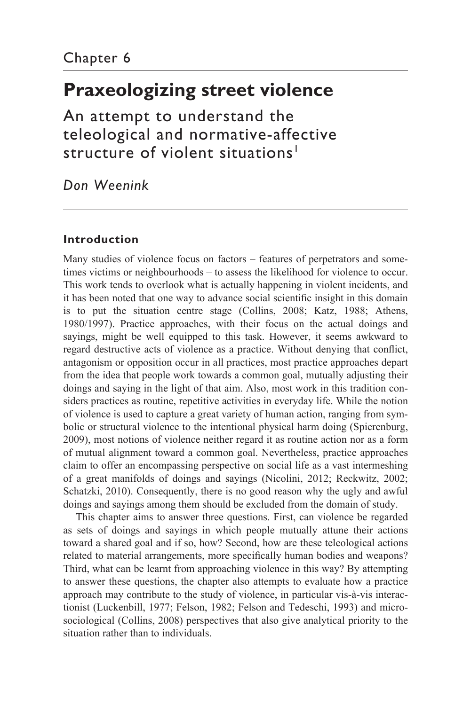# **Praxeologizing street violence**

An attempt to understand the teleological and normative- affective structure of violent situations<sup>1</sup>

*Don Weenink*

## **Introduction**

Many studies of violence focus on factors – features of perpetrators and sometimes victims or neighbourhoods – to assess the likelihood for violence to occur. This work tends to overlook what is actually happening in violent incidents, and it has been noted that one way to advance social scientific insight in this domain is to put the situation centre stage (Collins, 2008; Katz, 1988; Athens, 1980/1997). Practice approaches, with their focus on the actual doings and sayings, might be well equipped to this task. However, it seems awkward to regard destructive acts of violence as a practice. Without denying that conflict, antagonism or opposition occur in all practices, most practice approaches depart from the idea that people work towards a common goal, mutually adjusting their doings and saying in the light of that aim. Also, most work in this tradition considers practices as routine, repetitive activities in everyday life. While the notion of violence is used to capture a great variety of human action, ranging from symbolic or structural violence to the intentional physical harm doing (Spierenburg, 2009), most notions of violence neither regard it as routine action nor as a form of mutual alignment toward a common goal. Nevertheless, practice approaches claim to offer an encompassing perspective on social life as a vast intermeshing of a great manifolds of doings and sayings (Nicolini, 2012; Reckwitz, 2002; Schatzki, 2010). Consequently, there is no good reason why the ugly and awful doings and sayings among them should be excluded from the domain of study.

 This chapter aims to answer three questions. First, can violence be regarded as sets of doings and sayings in which people mutually attune their actions toward a shared goal and if so, how? Second, how are these teleological actions related to material arrangements, more specifically human bodies and weapons? Third, what can be learnt from approaching violence in this way? By attempting to answer these questions, the chapter also attempts to evaluate how a practice approach may contribute to the study of violence, in particular vis- à-vis interactionist (Luckenbill, 1977; Felson, 1982; Felson and Tedeschi, 1993) and microsociological (Collins, 2008) perspectives that also give analytical priority to the situation rather than to individuals.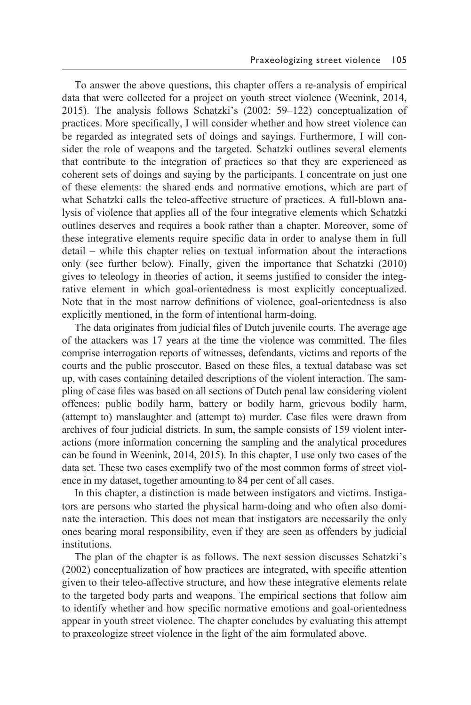To answer the above questions, this chapter offers a re- analysis of empirical data that were collected for a project on youth street violence (Weenink, 2014, 2015). The analysis follows Schatzki's (2002: 59–122) conceptualization of practices. More specifically, I will consider whether and how street violence can be regarded as integrated sets of doings and sayings. Furthermore, I will consider the role of weapons and the targeted. Schatzki outlines several elements that contribute to the integration of practices so that they are experienced as coherent sets of doings and saying by the participants. I concentrate on just one of these elements: the shared ends and normative emotions, which are part of what Schatzki calls the teleo-affective structure of practices. A full-blown analysis of violence that applies all of the four integrative elements which Schatzki outlines deserves and requires a book rather than a chapter. Moreover, some of these integrative elements require specific data in order to analyse them in full detail – while this chapter relies on textual information about the interactions only (see further below). Finally, given the importance that Schatzki (2010) gives to teleology in theories of action, it seems justified to consider the integrative element in which goal-orientedness is most explicitly conceptualized. Note that in the most narrow definitions of violence, goal- orientedness is also explicitly mentioned, in the form of intentional harm-doing.

 The data originates from judicial files of Dutch juvenile courts. The average age of the attackers was 17 years at the time the violence was committed. The files comprise interrogation reports of witnesses, defendants, victims and reports of the courts and the public prosecutor. Based on these files, a textual database was set up, with cases containing detailed descriptions of the violent interaction. The sampling of case files was based on all sections of Dutch penal law considering violent offences: public bodily harm, battery or bodily harm, grievous bodily harm, (attempt to) manslaughter and (attempt to) murder. Case files were drawn from archives of four judicial districts. In sum, the sample consists of 159 violent interactions (more information concerning the sampling and the analytical procedures can be found in Weenink, 2014, 2015). In this chapter, I use only two cases of the data set. These two cases exemplify two of the most common forms of street violence in my dataset, together amounting to 84 per cent of all cases.

 In this chapter, a distinction is made between instigators and victims. Instigators are persons who started the physical harm- doing and who often also dominate the interaction. This does not mean that instigators are necessarily the only ones bearing moral responsibility, even if they are seen as offenders by judicial institutions.

 The plan of the chapter is as follows. The next session discusses Schatzki's (2002) conceptualization of how practices are integrated, with specific attention given to their teleo- affective structure, and how these integrative elements relate to the targeted body parts and weapons. The empirical sections that follow aim to identify whether and how specific normative emotions and goal- orientedness appear in youth street violence. The chapter concludes by evaluating this attempt to praxeologize street violence in the light of the aim formulated above.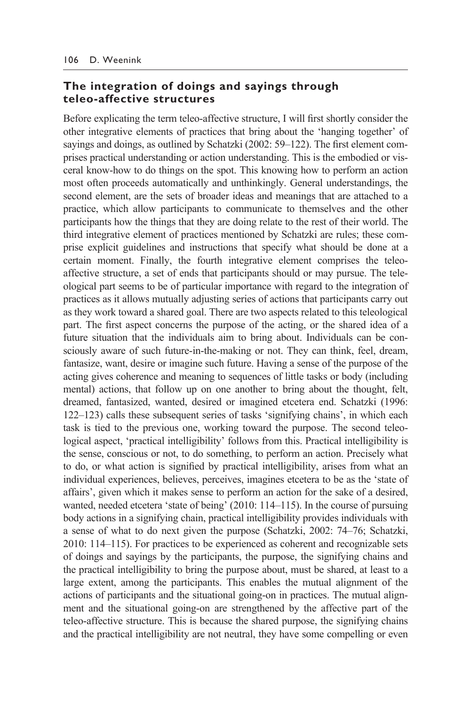#### **The integration of doings and sayings through teleo- affective structures**

Before explicating the term teleo- affective structure, I will first shortly consider the other integrative elements of practices that bring about the 'hanging together' of sayings and doings, as outlined by Schatzki (2002: 59–122). The first element comprises practical understanding or action understanding. This is the embodied or visceral know- how to do things on the spot. This knowing how to perform an action most often proceeds automatically and unthinkingly. General understandings, the second element, are the sets of broader ideas and meanings that are attached to a practice, which allow participants to communicate to themselves and the other participants how the things that they are doing relate to the rest of their world. The third integrative element of practices mentioned by Schatzki are rules; these comprise explicit guidelines and instructions that specify what should be done at a certain moment. Finally, the fourth integrative element comprises the teleoaffective structure, a set of ends that participants should or may pursue. The teleological part seems to be of particular importance with regard to the integration of practices as it allows mutually adjusting series of actions that participants carry out as they work toward a shared goal. There are two aspects related to this teleological part. The first aspect concerns the purpose of the acting, or the shared idea of a future situation that the individuals aim to bring about. Individuals can be consciously aware of such future-in-the-making or not. They can think, feel, dream, fantasize, want, desire or imagine such future. Having a sense of the purpose of the acting gives coherence and meaning to sequences of little tasks or body (including mental) actions, that follow up on one another to bring about the thought, felt, dreamed, fantasized, wanted, desired or imagined etcetera end. Schatzki (1996: 122–123) calls these subsequent series of tasks 'signifying chains', in which each task is tied to the previous one, working toward the purpose. The second teleological aspect, 'practical intelligibility' follows from this. Practical intelligibility is the sense, conscious or not, to do something, to perform an action. Precisely what to do, or what action is signified by practical intelligibility, arises from what an individual experiences, believes, perceives, imagines etcetera to be as the 'state of affairs', given which it makes sense to perform an action for the sake of a desired, wanted, needed etcetera 'state of being' (2010: 114–115). In the course of pursuing body actions in a signifying chain, practical intelligibility provides individuals with a sense of what to do next given the purpose (Schatzki, 2002: 74–76; Schatzki, 2010: 114–115). For practices to be experienced as coherent and recognizable sets of doings and sayings by the participants, the purpose, the signifying chains and the practical intelligibility to bring the purpose about, must be shared, at least to a large extent, among the participants. This enables the mutual alignment of the actions of participants and the situational going-on in practices. The mutual alignment and the situational going-on are strengthened by the affective part of the teleo- affective structure. This is because the shared purpose, the signifying chains and the practical intelligibility are not neutral, they have some compelling or even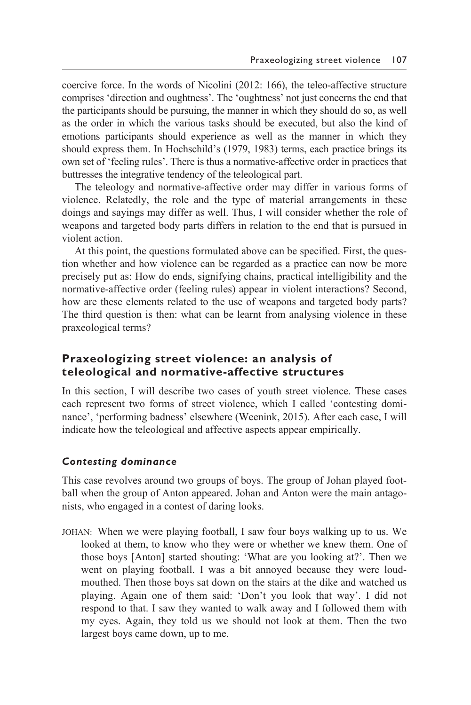coercive force. In the words of Nicolini (2012: 166), the teleo- affective structure comprises 'direction and oughtness'. The 'oughtness' not just concerns the end that the participants should be pursuing, the manner in which they should do so, as well as the order in which the various tasks should be executed, but also the kind of emotions participants should experience as well as the manner in which they should express them. In Hochschild's (1979, 1983) terms, each practice brings its own set of 'feeling rules'. There is thus a normative- affective order in practices that buttresses the integrative tendency of the teleological part.

The teleology and normative-affective order may differ in various forms of violence. Relatedly, the role and the type of material arrangements in these doings and sayings may differ as well. Thus, I will consider whether the role of weapons and targeted body parts differs in relation to the end that is pursued in violent action.

 At this point, the questions formulated above can be specified. First, the question whether and how violence can be regarded as a practice can now be more precisely put as: How do ends, signifying chains, practical intelligibility and the normative-affective order (feeling rules) appear in violent interactions? Second, how are these elements related to the use of weapons and targeted body parts? The third question is then: what can be learnt from analysing violence in these praxeological terms?

## **Praxeologizing street violence: an analysis of teleological and normative- affective structures**

In this section, I will describe two cases of youth street violence. These cases each represent two forms of street violence, which I called 'contesting dominance', 'performing badness' elsewhere (Weenink, 2015). After each case, I will indicate how the teleological and affective aspects appear empirically.

#### *Contesting dominance*

This case revolves around two groups of boys. The group of Johan played football when the group of Anton appeared. Johan and Anton were the main antagonists, who engaged in a contest of daring looks.

JOHAN: When we were playing football, I saw four boys walking up to us. We looked at them, to know who they were or whether we knew them. One of those boys [Anton] started shouting: 'What are you looking at?'. Then we went on playing football. I was a bit annoyed because they were loudmouthed. Then those boys sat down on the stairs at the dike and watched us playing. Again one of them said: 'Don't you look that way'. I did not respond to that. I saw they wanted to walk away and I followed them with my eyes. Again, they told us we should not look at them. Then the two largest boys came down, up to me.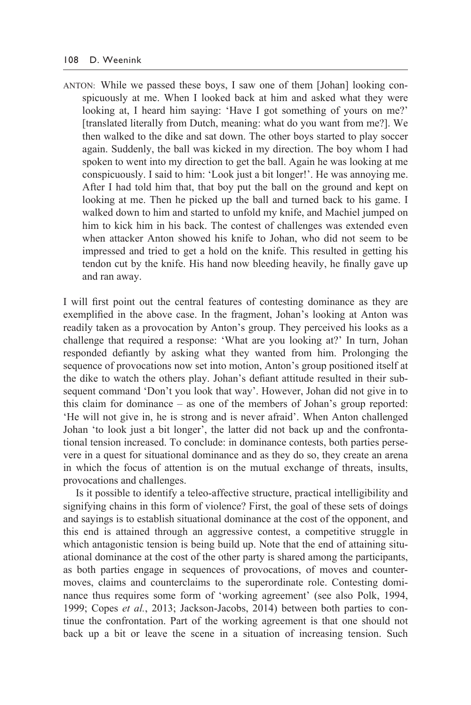#### 108 D. Weenink

ANTON: While we passed these boys, I saw one of them [Johan] looking conspicuously at me. When I looked back at him and asked what they were looking at, I heard him saying: 'Have I got something of yours on me?' [translated literally from Dutch, meaning: what do you want from me?]. We then walked to the dike and sat down. The other boys started to play soccer again. Suddenly, the ball was kicked in my direction. The boy whom I had spoken to went into my direction to get the ball. Again he was looking at me conspicuously. I said to him: 'Look just a bit longer!'. He was annoying me. After I had told him that, that boy put the ball on the ground and kept on looking at me. Then he picked up the ball and turned back to his game. I walked down to him and started to unfold my knife, and Machiel jumped on him to kick him in his back. The contest of challenges was extended even when attacker Anton showed his knife to Johan, who did not seem to be impressed and tried to get a hold on the knife. This resulted in getting his tendon cut by the knife. His hand now bleeding heavily, he finally gave up and ran away.

I will first point out the central features of contesting dominance as they are exemplified in the above case. In the fragment, Johan's looking at Anton was readily taken as a provocation by Anton's group. They perceived his looks as a challenge that required a response: 'What are you looking at?' In turn, Johan responded defiantly by asking what they wanted from him. Prolonging the sequence of provocations now set into motion, Anton's group positioned itself at the dike to watch the others play. Johan's defiant attitude resulted in their subsequent command 'Don't you look that way'. However, Johan did not give in to this claim for dominance – as one of the members of Johan's group reported: 'He will not give in, he is strong and is never afraid'. When Anton challenged Johan 'to look just a bit longer', the latter did not back up and the confrontational tension increased. To conclude: in dominance contests, both parties persevere in a quest for situational dominance and as they do so, they create an arena in which the focus of attention is on the mutual exchange of threats, insults, provocations and challenges.

 Is it possible to identify a teleo- affective structure, practical intelligibility and signifying chains in this form of violence? First, the goal of these sets of doings and sayings is to establish situational dominance at the cost of the opponent, and this end is attained through an aggressive contest, a competitive struggle in which antagonistic tension is being build up. Note that the end of attaining situational dominance at the cost of the other party is shared among the participants, as both parties engage in sequences of provocations, of moves and countermoves, claims and counterclaims to the superordinate role. Contesting dominance thus requires some form of 'working agreement' (see also Polk, 1994, 1999; Copes *et al.*, 2013; Jackson-Jacobs, 2014) between both parties to continue the confrontation. Part of the working agreement is that one should not back up a bit or leave the scene in a situation of increasing tension. Such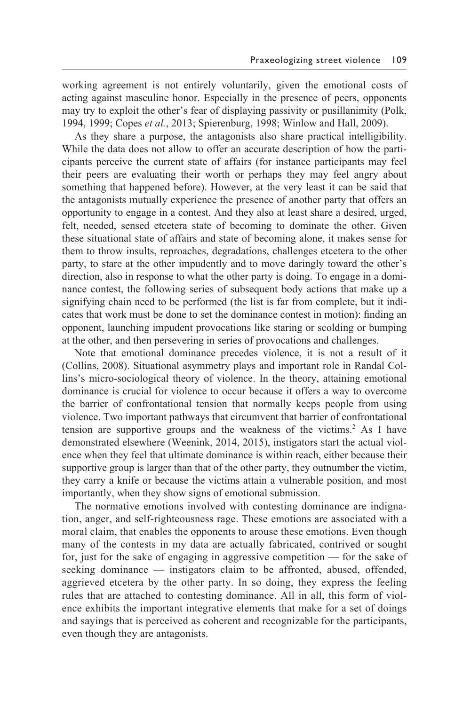working agreement is not entirely voluntarily, given the emotional costs of acting against masculine honor. Especially in the presence of peers, opponents may try to exploit the other's fear of displaying passivity or pusillanimity (Polk, 1994, 1999; Copes *et al.*, 2013; Spierenburg, 1998; Winlow and Hall, 2009).

 As they share a purpose, the antagonists also share practical intelligibility. While the data does not allow to offer an accurate description of how the participants perceive the current state of affairs (for instance participants may feel their peers are evaluating their worth or perhaps they may feel angry about something that happened before). However, at the very least it can be said that the antagonists mutually experience the presence of another party that offers an opportunity to engage in a contest. And they also at least share a desired, urged, felt, needed, sensed etcetera state of becoming to dominate the other. Given these situational state of affairs and state of becoming alone, it makes sense for them to throw insults, reproaches, degradations, challenges etcetera to the other party, to stare at the other impudently and to move daringly toward the other's direction, also in response to what the other party is doing. To engage in a dominance contest, the following series of subsequent body actions that make up a signifying chain need to be performed (the list is far from complete, but it indicates that work must be done to set the dominance contest in motion): finding an opponent, launching impudent provocations like staring or scolding or bumping at the other, and then persevering in series of provocations and challenges.

 Note that emotional dominance precedes violence, it is not a result of it (Collins, 2008). Situational asymmetry plays and important role in Randal Collins's micro- sociological theory of violence. In the theory, attaining emotional dominance is crucial for violence to occur because it offers a way to overcome the barrier of confrontational tension that normally keeps people from using violence. Two important pathways that circumvent that barrier of confrontational tension are supportive groups and the weakness of the victims.2 As I have demonstrated elsewhere (Weenink, 2014, 2015), instigators start the actual violence when they feel that ultimate dominance is within reach, either because their supportive group is larger than that of the other party, they outnumber the victim, they carry a knife or because the victims attain a vulnerable position, and most importantly, when they show signs of emotional submission.

 The normative emotions involved with contesting dominance are indignation, anger, and self- righteousness rage. These emotions are associated with a moral claim, that enables the opponents to arouse these emotions. Even though many of the contests in my data are actually fabricated, contrived or sought for, just for the sake of engaging in aggressive competition — for the sake of seeking dominance — instigators claim to be affronted, abused, offended, aggrieved etcetera by the other party. In so doing, they express the feeling rules that are attached to contesting dominance. All in all, this form of violence exhibits the important integrative elements that make for a set of doings and sayings that is perceived as coherent and recognizable for the participants, even though they are antagonists.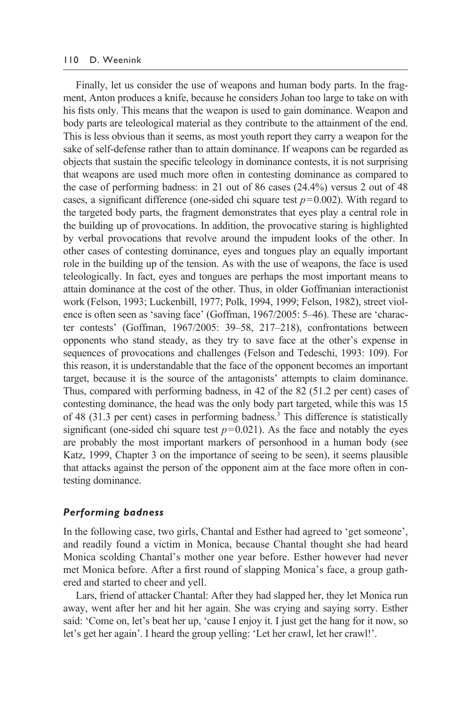#### 110 D. Weenink

 Finally, let us consider the use of weapons and human body parts. In the fragment, Anton produces a knife, because he considers Johan too large to take on with his fists only. This means that the weapon is used to gain dominance. Weapon and body parts are teleological material as they contribute to the attainment of the end. This is less obvious than it seems, as most youth report they carry a weapon for the sake of self- defense rather than to attain dominance. If weapons can be regarded as objects that sustain the specific teleology in dominance contests, it is not surprising that weapons are used much more often in contesting dominance as compared to the case of performing badness: in 21 out of 86 cases (24.4%) versus 2 out of 48 cases, a significant difference (one-sided chi square test  $p=0.002$ ). With regard to the targeted body parts, the fragment demonstrates that eyes play a central role in the building up of provocations. In addition, the provocative staring is highlighted by verbal provocations that revolve around the impudent looks of the other. In other cases of contesting dominance, eyes and tongues play an equally important role in the building up of the tension. As with the use of weapons, the face is used teleologically. In fact, eyes and tongues are perhaps the most important means to attain dominance at the cost of the other. Thus, in older Goffmanian interactionist work (Felson, 1993; Luckenbill, 1977; Polk, 1994, 1999; Felson, 1982), street violence is often seen as 'saving face' (Goffman, 1967/2005: 5–46). These are 'character contests' (Goffman, 1967/2005: 39–58, 217–218), confrontations between opponents who stand steady, as they try to save face at the other's expense in sequences of provocations and challenges (Felson and Tedeschi, 1993: 109). For this reason, it is understandable that the face of the opponent becomes an important target, because it is the source of the antagonists' attempts to claim dominance. Thus, compared with performing badness, in 42 of the 82 (51.2 per cent) cases of contesting dominance, the head was the only body part targeted, while this was 15 of 48 (31.3 per cent) cases in performing badness.<sup>3</sup> This difference is statistically significant (one-sided chi square test  $p=0.021$ ). As the face and notably the eyes are probably the most important markers of personhood in a human body (see Katz, 1999, Chapter 3 on the importance of seeing to be seen), it seems plausible that attacks against the person of the opponent aim at the face more often in contesting dominance.

#### *Performing badness*

In the following case, two girls, Chantal and Esther had agreed to 'get someone', and readily found a victim in Monica, because Chantal thought she had heard Monica scolding Chantal's mother one year before. Esther however had never met Monica before. After a first round of slapping Monica's face, a group gathered and started to cheer and yell.

 Lars, friend of attacker Chantal: After they had slapped her, they let Monica run away, went after her and hit her again. She was crying and saying sorry. Esther said: 'Come on, let's beat her up, 'cause I enjoy it. I just get the hang for it now, so let's get her again'. I heard the group yelling: 'Let her crawl, let her crawl!'.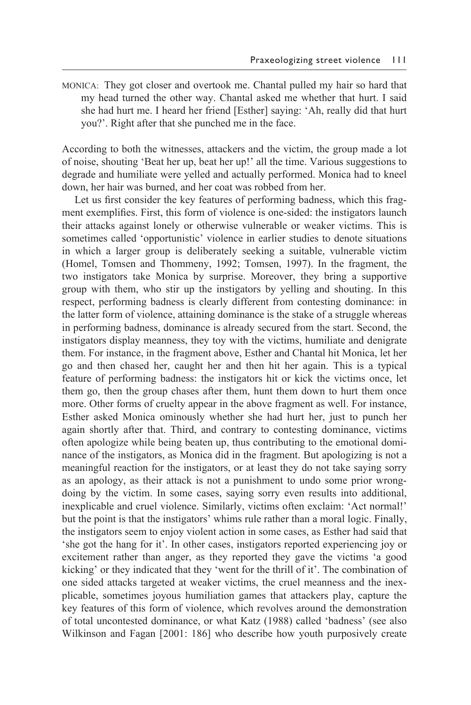MONICA: They got closer and overtook me. Chantal pulled my hair so hard that my head turned the other way. Chantal asked me whether that hurt. I said she had hurt me. I heard her friend [Esther] saying: 'Ah, really did that hurt you?'. Right after that she punched me in the face.

According to both the witnesses, attackers and the victim, the group made a lot of noise, shouting 'Beat her up, beat her up!' all the time. Various suggestions to degrade and humiliate were yelled and actually performed. Monica had to kneel down, her hair was burned, and her coat was robbed from her.

 Let us first consider the key features of performing badness, which this fragment exemplifies. First, this form of violence is one- sided: the instigators launch their attacks against lonely or otherwise vulnerable or weaker victims. This is sometimes called 'opportunistic' violence in earlier studies to denote situations in which a larger group is deliberately seeking a suitable, vulnerable victim (Homel, Tomsen and Thommeny, 1992; Tomsen, 1997). In the fragment, the two instigators take Monica by surprise. Moreover, they bring a supportive group with them, who stir up the instigators by yelling and shouting. In this respect, performing badness is clearly different from contesting dominance: in the latter form of violence, attaining dominance is the stake of a struggle whereas in performing badness, dominance is already secured from the start. Second, the instigators display meanness, they toy with the victims, humiliate and denigrate them. For instance, in the fragment above, Esther and Chantal hit Monica, let her go and then chased her, caught her and then hit her again. This is a typical feature of performing badness: the instigators hit or kick the victims once, let them go, then the group chases after them, hunt them down to hurt them once more. Other forms of cruelty appear in the above fragment as well. For instance, Esther asked Monica ominously whether she had hurt her, just to punch her again shortly after that. Third, and contrary to contesting dominance, victims often apologize while being beaten up, thus contributing to the emotional dominance of the instigators, as Monica did in the fragment. But apologizing is not a meaningful reaction for the instigators, or at least they do not take saying sorry as an apology, as their attack is not a punishment to undo some prior wrongdoing by the victim. In some cases, saying sorry even results into additional, inexplicable and cruel violence. Similarly, victims often exclaim: 'Act normal!' but the point is that the instigators' whims rule rather than a moral logic. Finally, the instigators seem to enjoy violent action in some cases, as Esther had said that 'she got the hang for it'. In other cases, instigators reported experiencing joy or excitement rather than anger, as they reported they gave the victims 'a good kicking' or they indicated that they 'went for the thrill of it'. The combination of one sided attacks targeted at weaker victims, the cruel meanness and the inexplicable, sometimes joyous humiliation games that attackers play, capture the key features of this form of violence, which revolves around the demonstration of total uncontested dominance, or what Katz (1988) called 'badness' (see also Wilkinson and Fagan [2001: 186] who describe how youth purposively create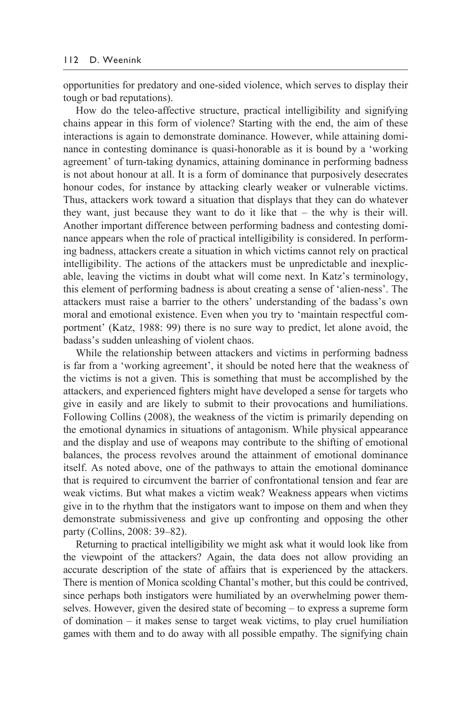opportunities for predatory and one- sided violence, which serves to display their tough or bad reputations).

How do the teleo-affective structure, practical intelligibility and signifying chains appear in this form of violence? Starting with the end, the aim of these interactions is again to demonstrate dominance. However, while attaining dominance in contesting dominance is quasi- honorable as it is bound by a 'working agreement' of turn-taking dynamics, attaining dominance in performing badness is not about honour at all. It is a form of dominance that purposively desecrates honour codes, for instance by attacking clearly weaker or vulnerable victims. Thus, attackers work toward a situation that displays that they can do whatever they want, just because they want to do it like that – the why is their will. Another important difference between performing badness and contesting dominance appears when the role of practical intelligibility is considered. In performing badness, attackers create a situation in which victims cannot rely on practical intelligibility. The actions of the attackers must be unpredictable and inexplicable, leaving the victims in doubt what will come next. In Katz's terminology, this element of performing badness is about creating a sense of 'alien- ness'. The attackers must raise a barrier to the others' understanding of the badass's own moral and emotional existence. Even when you try to 'maintain respectful comportment' (Katz, 1988: 99) there is no sure way to predict, let alone avoid, the badass's sudden unleashing of violent chaos.

 While the relationship between attackers and victims in performing badness is far from a 'working agreement', it should be noted here that the weakness of the victims is not a given. This is something that must be accomplished by the attackers, and experienced fighters might have developed a sense for targets who give in easily and are likely to submit to their provocations and humiliations. Following Collins (2008), the weakness of the victim is primarily depending on the emotional dynamics in situations of antagonism. While physical appearance and the display and use of weapons may contribute to the shifting of emotional balances, the process revolves around the attainment of emotional dominance itself. As noted above, one of the pathways to attain the emotional dominance that is required to circumvent the barrier of confrontational tension and fear are weak victims. But what makes a victim weak? Weakness appears when victims give in to the rhythm that the instigators want to impose on them and when they demonstrate submissiveness and give up confronting and opposing the other party (Collins, 2008: 39–82).

 Returning to practical intelligibility we might ask what it would look like from the viewpoint of the attackers? Again, the data does not allow providing an accurate description of the state of affairs that is experienced by the attackers. There is mention of Monica scolding Chantal's mother, but this could be contrived, since perhaps both instigators were humiliated by an overwhelming power themselves. However, given the desired state of becoming – to express a supreme form of domination – it makes sense to target weak victims, to play cruel humiliation games with them and to do away with all possible empathy. The signifying chain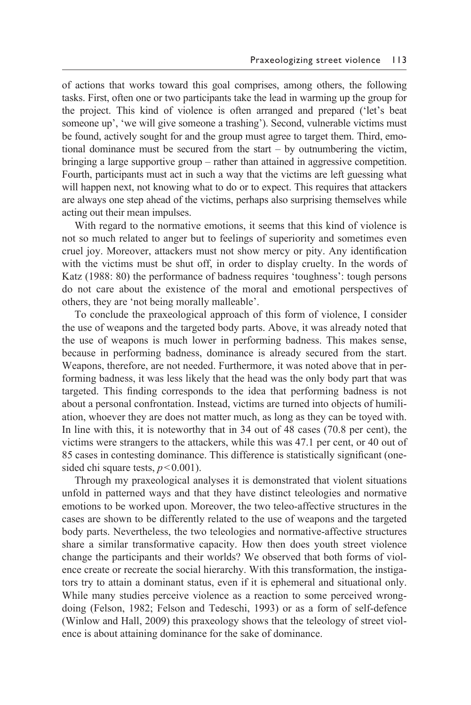of actions that works toward this goal comprises, among others, the following tasks. First, often one or two participants take the lead in warming up the group for the project. This kind of violence is often arranged and prepared ('let's beat someone up', 'we will give someone a trashing'). Second, vulnerable victims must be found, actively sought for and the group must agree to target them. Third, emotional dominance must be secured from the start – by outnumbering the victim, bringing a large supportive group – rather than attained in aggressive competition. Fourth, participants must act in such a way that the victims are left guessing what will happen next, not knowing what to do or to expect. This requires that attackers are always one step ahead of the victims, perhaps also surprising themselves while acting out their mean impulses.

 With regard to the normative emotions, it seems that this kind of violence is not so much related to anger but to feelings of superiority and sometimes even cruel joy. Moreover, attackers must not show mercy or pity. Any identification with the victims must be shut off, in order to display cruelty. In the words of Katz (1988: 80) the performance of badness requires 'toughness': tough persons do not care about the existence of the moral and emotional perspectives of others, they are 'not being morally malleable'.

 To conclude the praxeological approach of this form of violence, I consider the use of weapons and the targeted body parts. Above, it was already noted that the use of weapons is much lower in performing badness. This makes sense, because in performing badness, dominance is already secured from the start. Weapons, therefore, are not needed. Furthermore, it was noted above that in performing badness, it was less likely that the head was the only body part that was targeted. This finding corresponds to the idea that performing badness is not about a personal confrontation. Instead, victims are turned into objects of humiliation, whoever they are does not matter much, as long as they can be toyed with. In line with this, it is noteworthy that in 34 out of 48 cases (70.8 per cent), the victims were strangers to the attackers, while this was 47.1 per cent, or 40 out of 85 cases in contesting dominance. This difference is statistically significant (one sided chi square tests,  $p < 0.001$ ).

 Through my praxeological analyses it is demonstrated that violent situations unfold in patterned ways and that they have distinct teleologies and normative emotions to be worked upon. Moreover, the two teleo-affective structures in the cases are shown to be differently related to the use of weapons and the targeted body parts. Nevertheless, the two teleologies and normative- affective structures share a similar transformative capacity. How then does youth street violence change the participants and their worlds? We observed that both forms of violence create or recreate the social hierarchy. With this transformation, the instigators try to attain a dominant status, even if it is ephemeral and situational only. While many studies perceive violence as a reaction to some perceived wrongdoing (Felson, 1982; Felson and Tedeschi, 1993) or as a form of self- defence (Winlow and Hall, 2009) this praxeology shows that the teleology of street violence is about attaining dominance for the sake of dominance.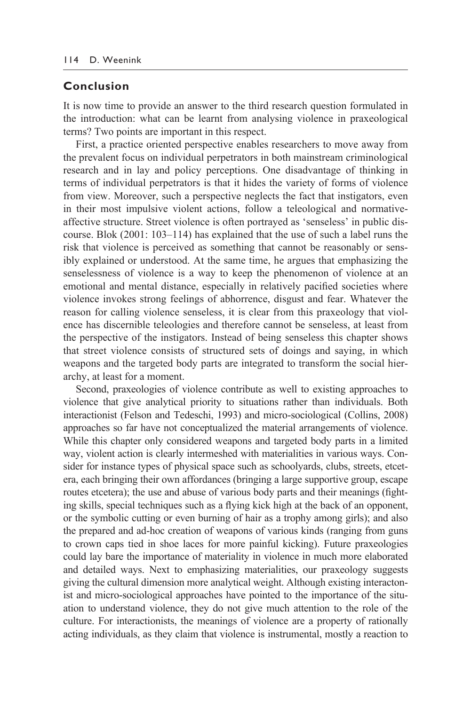## **Conclusion**

It is now time to provide an answer to the third research question formulated in the introduction: what can be learnt from analysing violence in praxeological terms? Two points are important in this respect.

 First, a practice oriented perspective enables researchers to move away from the prevalent focus on individual perpetrators in both mainstream criminological research and in lay and policy perceptions. One disadvantage of thinking in terms of individual perpetrators is that it hides the variety of forms of violence from view. Moreover, such a perspective neglects the fact that instigators, even in their most impulsive violent actions, follow a teleological and normativeaffective structure. Street violence is often portrayed as 'senseless' in public discourse. Blok (2001: 103–114) has explained that the use of such a label runs the risk that violence is perceived as something that cannot be reasonably or sensibly explained or understood. At the same time, he argues that emphasizing the senselessness of violence is a way to keep the phenomenon of violence at an emotional and mental distance, especially in relatively pacified societies where violence invokes strong feelings of abhorrence, disgust and fear. Whatever the reason for calling violence senseless, it is clear from this praxeology that violence has discernible teleologies and therefore cannot be senseless, at least from the perspective of the instigators. Instead of being senseless this chapter shows that street violence consists of structured sets of doings and saying, in which weapons and the targeted body parts are integrated to transform the social hierarchy, at least for a moment.

 Second, praxeologies of violence contribute as well to existing approaches to violence that give analytical priority to situations rather than individuals. Both interactionist (Felson and Tedeschi, 1993) and micro- sociological (Collins, 2008) approaches so far have not conceptualized the material arrangements of violence. While this chapter only considered weapons and targeted body parts in a limited way, violent action is clearly intermeshed with materialities in various ways. Consider for instance types of physical space such as schoolyards, clubs, streets, etcetera, each bringing their own affordances (bringing a large supportive group, escape routes etcetera); the use and abuse of various body parts and their meanings (fighting skills, special techniques such as a flying kick high at the back of an opponent, or the symbolic cutting or even burning of hair as a trophy among girls); and also the prepared and ad- hoc creation of weapons of various kinds (ranging from guns to crown caps tied in shoe laces for more painful kicking). Future praxeologies could lay bare the importance of materiality in violence in much more elaborated and detailed ways. Next to emphasizing materialities, our praxeology suggests giving the cultural dimension more analytical weight. Although existing interactonist and micro- sociological approaches have pointed to the importance of the situation to understand violence, they do not give much attention to the role of the culture. For interactionists, the meanings of violence are a property of rationally acting individuals, as they claim that violence is instrumental, mostly a reaction to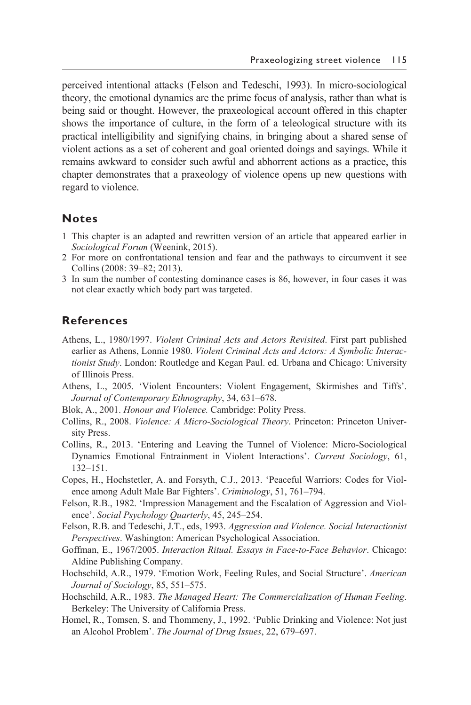perceived intentional attacks (Felson and Tedeschi, 1993). In micro- sociological theory, the emotional dynamics are the prime focus of analysis, rather than what is being said or thought. However, the praxeological account offered in this chapter shows the importance of culture, in the form of a teleological structure with its practical intelligibility and signifying chains, in bringing about a shared sense of violent actions as a set of coherent and goal oriented doings and sayings. While it remains awkward to consider such awful and abhorrent actions as a practice, this chapter demonstrates that a praxeology of violence opens up new questions with regard to violence.

#### **Notes**

- 1 This chapter is an adapted and rewritten version of an article that appeared earlier in *Sociological Forum* (Weenink, 2015).
- 2 For more on confrontational tension and fear and the pathways to circumvent it see Collins (2008: 39–82; 2013).
- 3 In sum the number of contesting dominance cases is 86, however, in four cases it was not clear exactly which body part was targeted.

## **References**

- Athens, L., 1980/1997. *Violent Criminal Acts and Actors Revisited*. First part published earlier as Athens, Lonnie 1980. *Violent Criminal Acts and Actors: A Symbolic Interactionist Study*. London: Routledge and Kegan Paul. ed. Urbana and Chicago: University of Illinois Press.
- Athens, L., 2005. 'Violent Encounters: Violent Engagement, Skirmishes and Tiffs'. *Journal of Contemporary Ethnography*, 34, 631–678.
- Blok, A., 2001. *Honour and Violence.* Cambridge: Polity Press.
- Collins, R., 2008. *Violence: A Micro- Sociological Theory*. Princeton: Princeton University Press.
- Collins, R., 2013. 'Entering and Leaving the Tunnel of Violence: Micro- Sociological Dynamics Emotional Entrainment in Violent Interactions'. *Current Sociology*, 61, 132–151.
- Copes, H., Hochstetler, A. and Forsyth, C.J., 2013. 'Peaceful Warriors: Codes for Violence among Adult Male Bar Fighters'. *Criminology*, 51, 761–794.
- Felson, R.B., 1982. 'Impression Management and the Escalation of Aggression and Violence'. *Social Psychology Quarterly*, 45, 245–254.
- Felson, R.B. and Tedeschi, J.T., eds, 1993. *Aggression and Violence. Social Interactionist Perspectives*. Washington: American Psychological Association.
- Goffman, E., 1967/2005. *Interaction Ritual. Essays in Face- to-Face Behavior*. Chicago: Aldine Publishing Company.
- Hochschild, A.R., 1979. 'Emotion Work, Feeling Rules, and Social Structure'. *American Journal of Sociology*, 85, 551–575.
- Hochschild, A.R., 1983. *The Managed Heart: The Commercialization of Human Feeling*. Berkeley: The University of California Press.
- Homel, R., Tomsen, S. and Thommeny, J., 1992. 'Public Drinking and Violence: Not just an Alcohol Problem'. *The Journal of Drug Issues*, 22, 679–697.